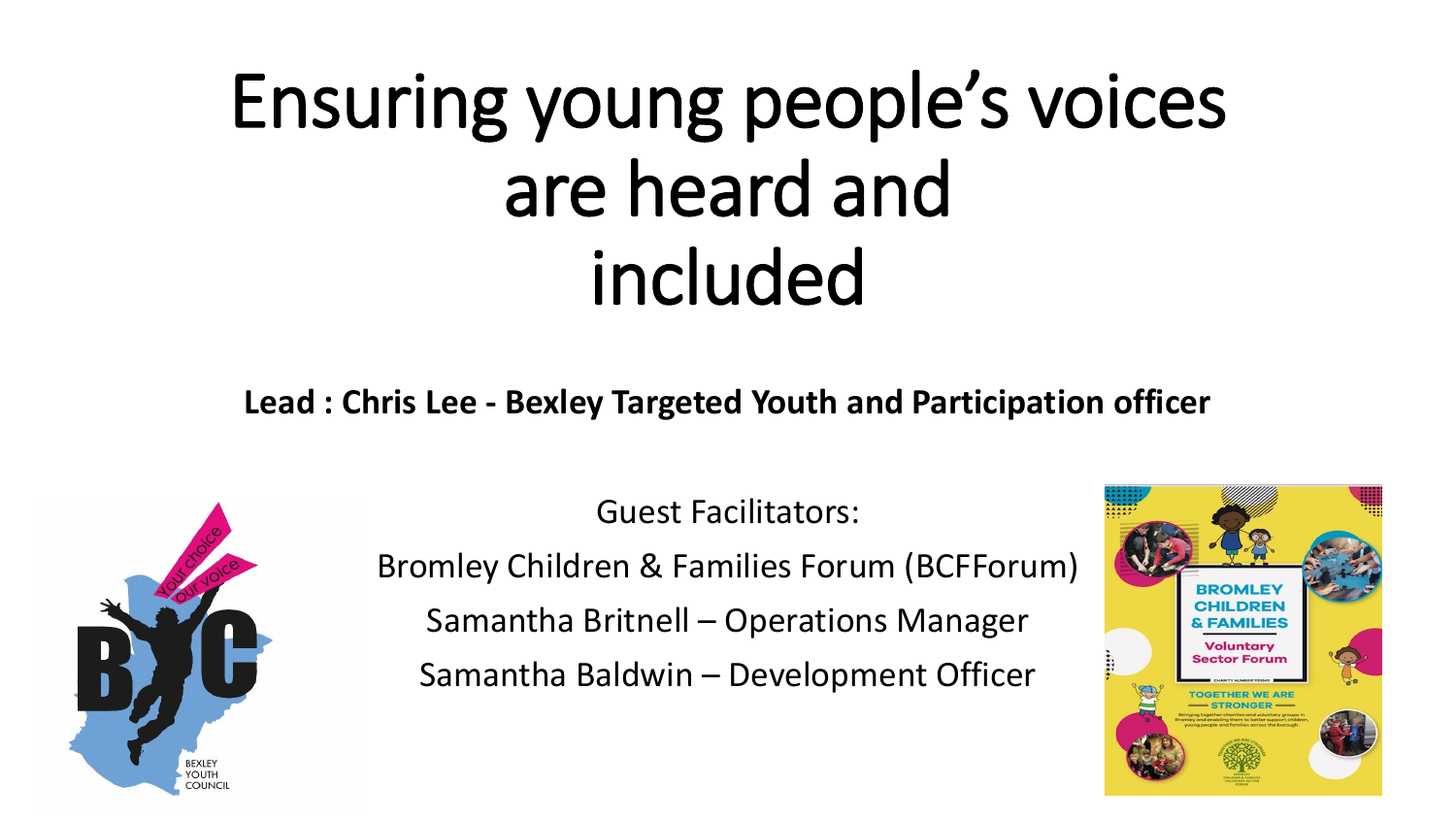# Ensuring young people's voices are heard and included

**Lead : Chris Lee - Bexley Targeted Youth and Participation officer**



Guest Facilitators: Bromley Children & Families Forum (BCFForum) Samantha Britnell – Operations Manager Samantha Baldwin – Development Officer

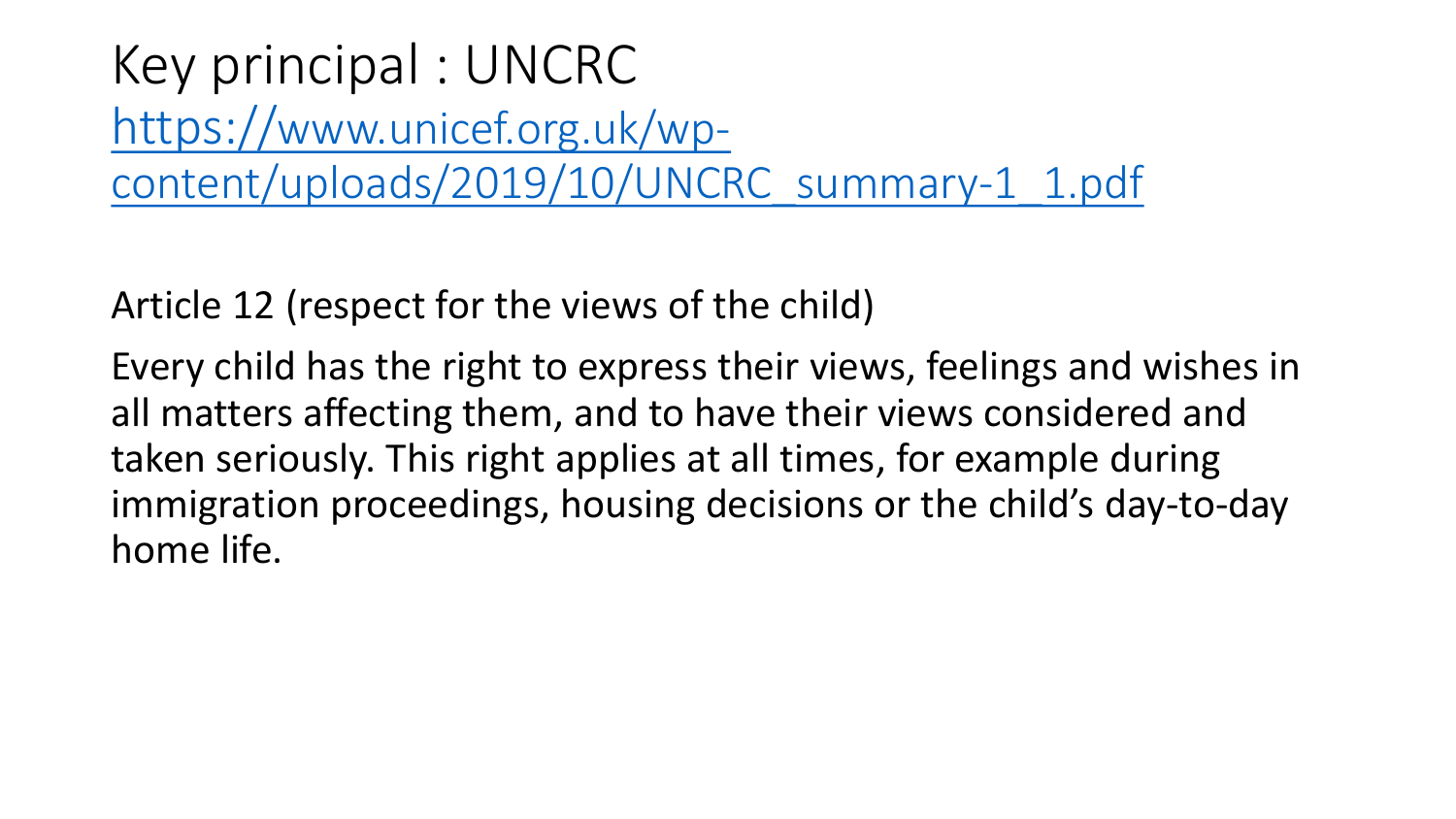Key principal : UNCRC https://www.unicef.org.uk/wp[content/uploads/2019/10/UNCRC\\_summary-1\\_1.pdf](https://www.unicef.org.uk/wp-content/uploads/2019/10/UNCRC_summary-1_1.pdf)

Article 12 (respect for the views of the child)

Every child has the right to express their views, feelings and wishes in all matters affecting them, and to have their views considered and taken seriously. This right applies at all times, for example during immigration proceedings, housing decisions or the child's day-to-day home life.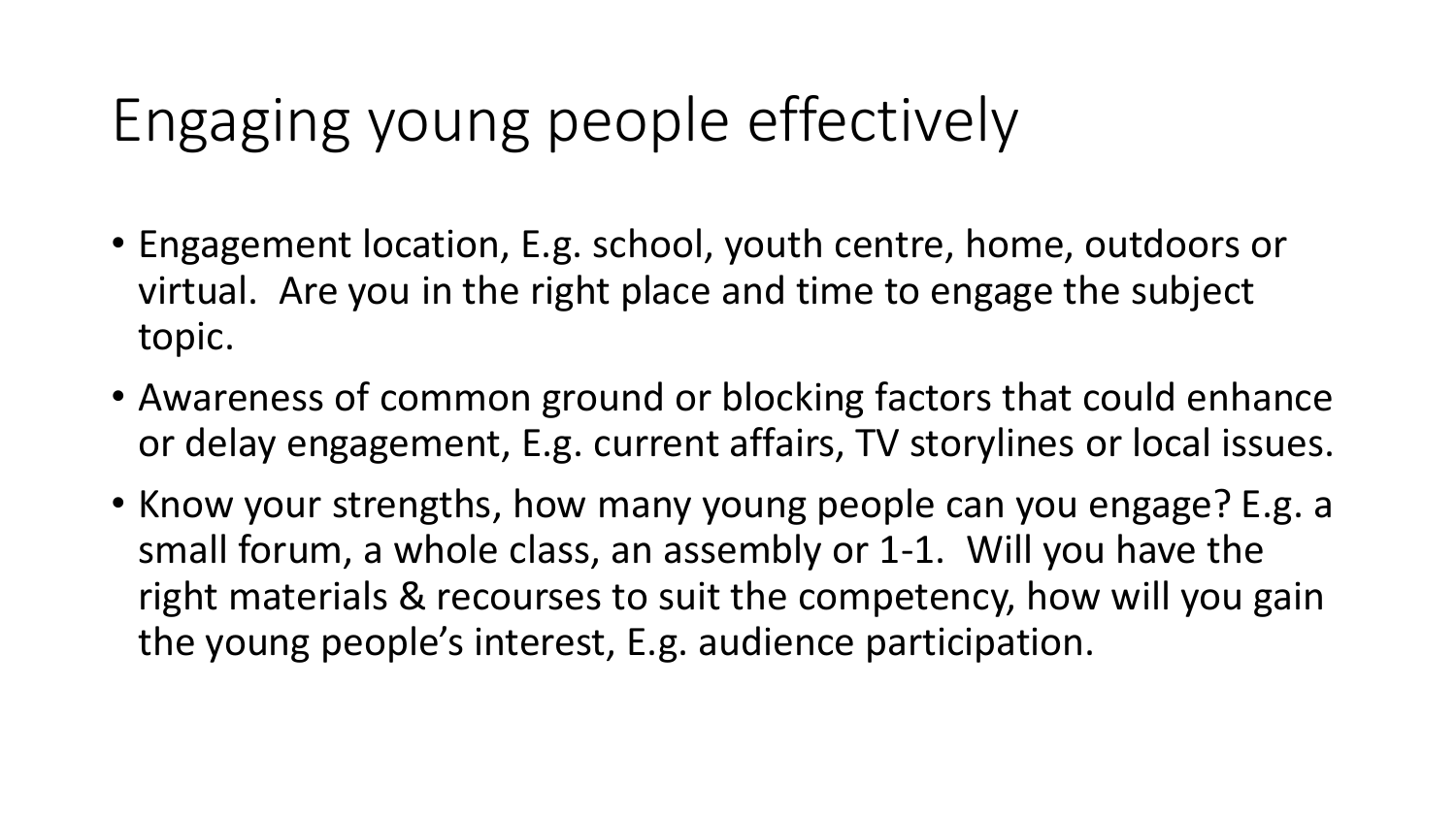#### Engaging young people effectively

- Engagement location, E.g. school, youth centre, home, outdoors or virtual. Are you in the right place and time to engage the subject topic.
- Awareness of common ground or blocking factors that could enhance or delay engagement, E.g. current affairs, TV storylines or local issues.
- Know your strengths, how many young people can you engage? E.g. a small forum, a whole class, an assembly or 1-1. Will you have the right materials & recourses to suit the competency, how will you gain the young people's interest, E.g. audience participation.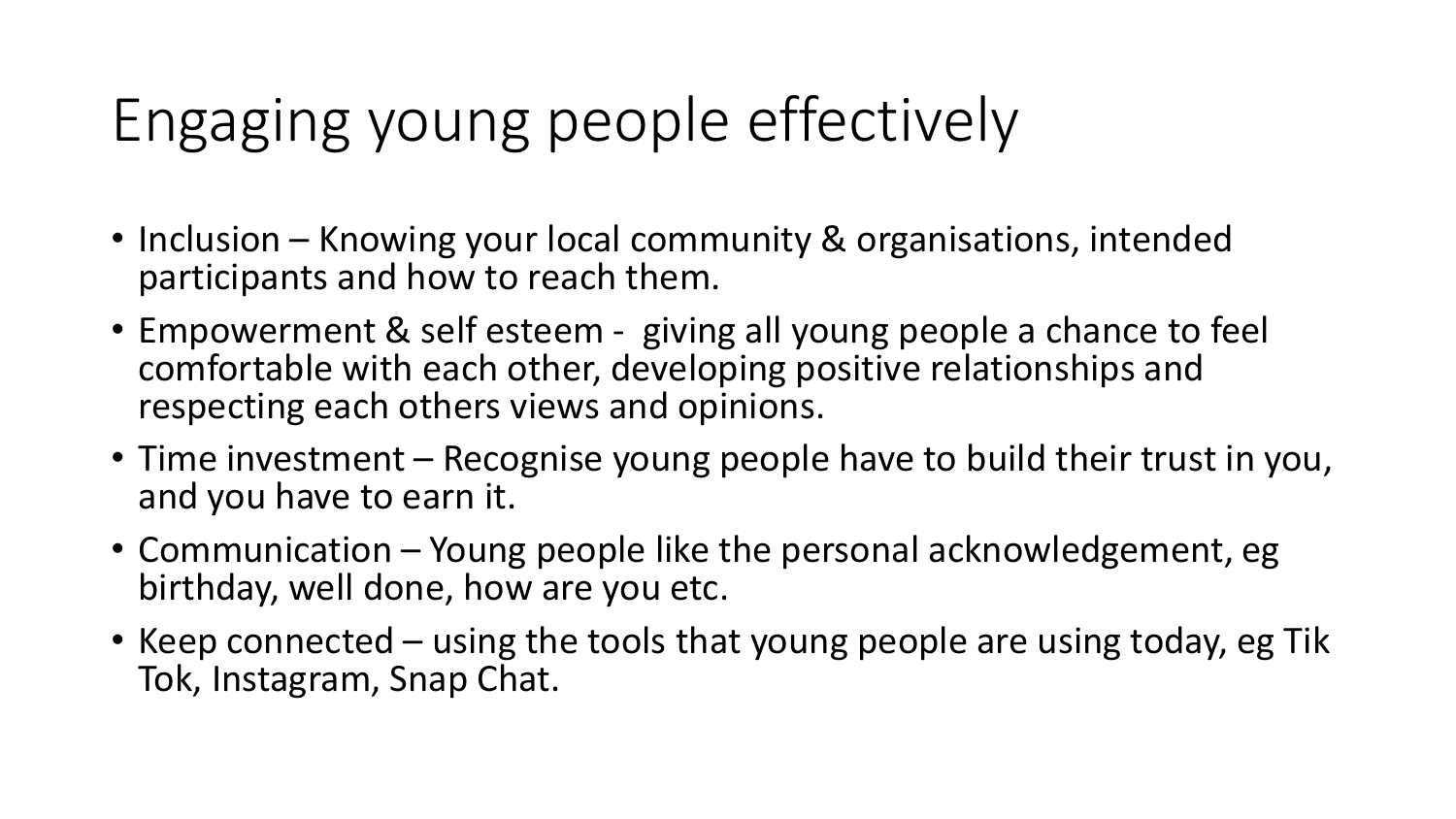## Engaging young people effectively

- Inclusion Knowing your local community & organisations, intended participants and how to reach them.
- Empowerment & self esteem giving all young people a chance to feel comfortable with each other, developing positive relationships and respecting each others views and opinions.
- Time investment Recognise young people have to build their trust in you, and you have to earn it.
- Communication Young people like the personal acknowledgement, eg birthday, well done, how are you etc.
- Keep connected using the tools that young people are using today, eg Tik Tok, Instagram, Snap Chat.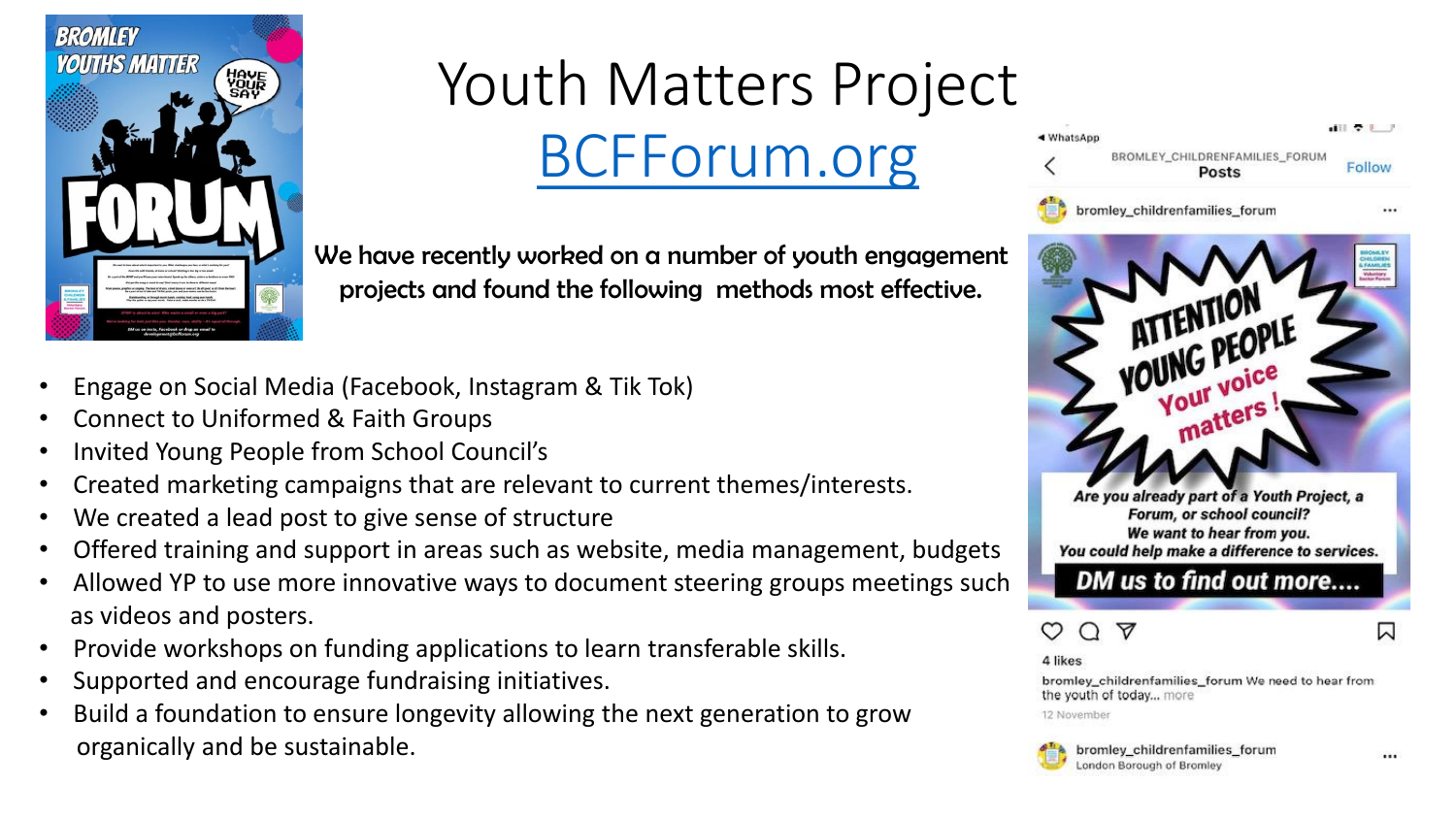

#### Youth Matters Project

[BCFForum.org](http://www.bcfforum.org/)

We have recently worked on a number of youth engagement projects and found the following methods most effective.

- Engage on Social Media (Facebook, Instagram & Tik Tok)
- Connect to Uniformed & Faith Groups
- Invited Young People from School Council's
- Created marketing campaigns that are relevant to current themes/interests.
- We created a lead post to give sense of structure
- Offered training and support in areas such as website, media management, budgets
- Allowed YP to use more innovative ways to document steering groups meetings such as videos and posters.
- Provide workshops on funding applications to learn transferable skills.
- Supported and encourage fundraising initiatives.
- Build a foundation to ensure longevity allowing the next generation to grow organically and be sustainable.

 $\blacksquare$ ◀ WhatsApp BROMLEY\_CHILDRENFAMILIES\_FORUM Follow **Posts** bromley\_childrenfamilies\_forum



Are you already part of a Youth Project, a Forum, or school council? We want to hear from you. You could help make a difference to services.

DM us to find out more....



4 likes

bromley\_childrenfamilies\_forum We need to hear from the youth of today... more

12 November

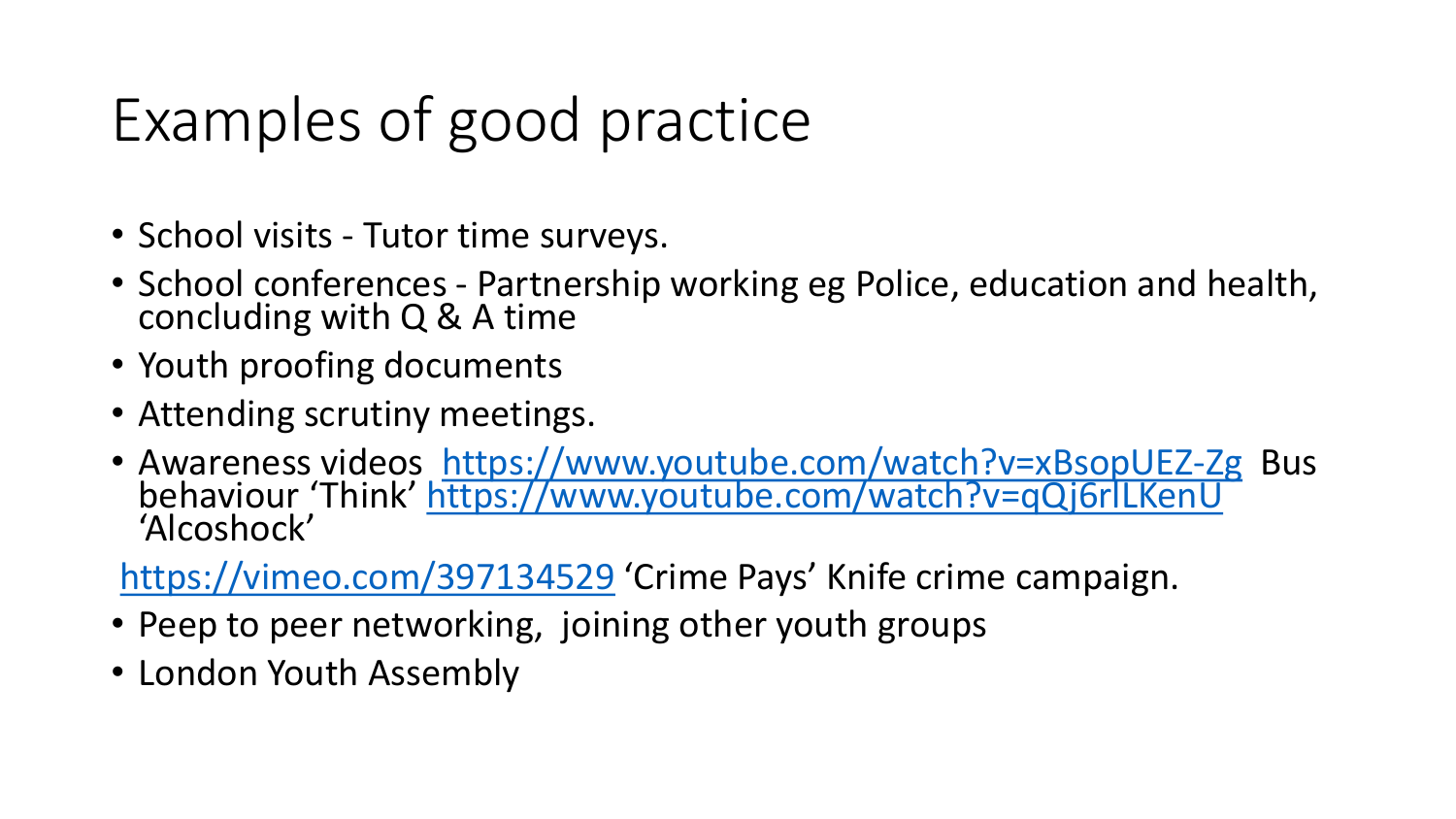## Examples of good practice

- School visits Tutor time surveys.
- School conferences Partnership working eg Police, education and health, concluding with Q & A time
- Youth proofing documents
- Attending scrutiny meetings.
- Awareness videos <https://www.youtube.com/watch?v=xBsopUEZ-Zg> Bus behaviour 'Think' <https://www.youtube.com/watch?v=qQj6rlLKenU> 'Alcoshock'

<https://vimeo.com/397134529> 'Crime Pays' Knife crime campaign.

- Peep to peer networking, joining other youth groups
- London Youth Assembly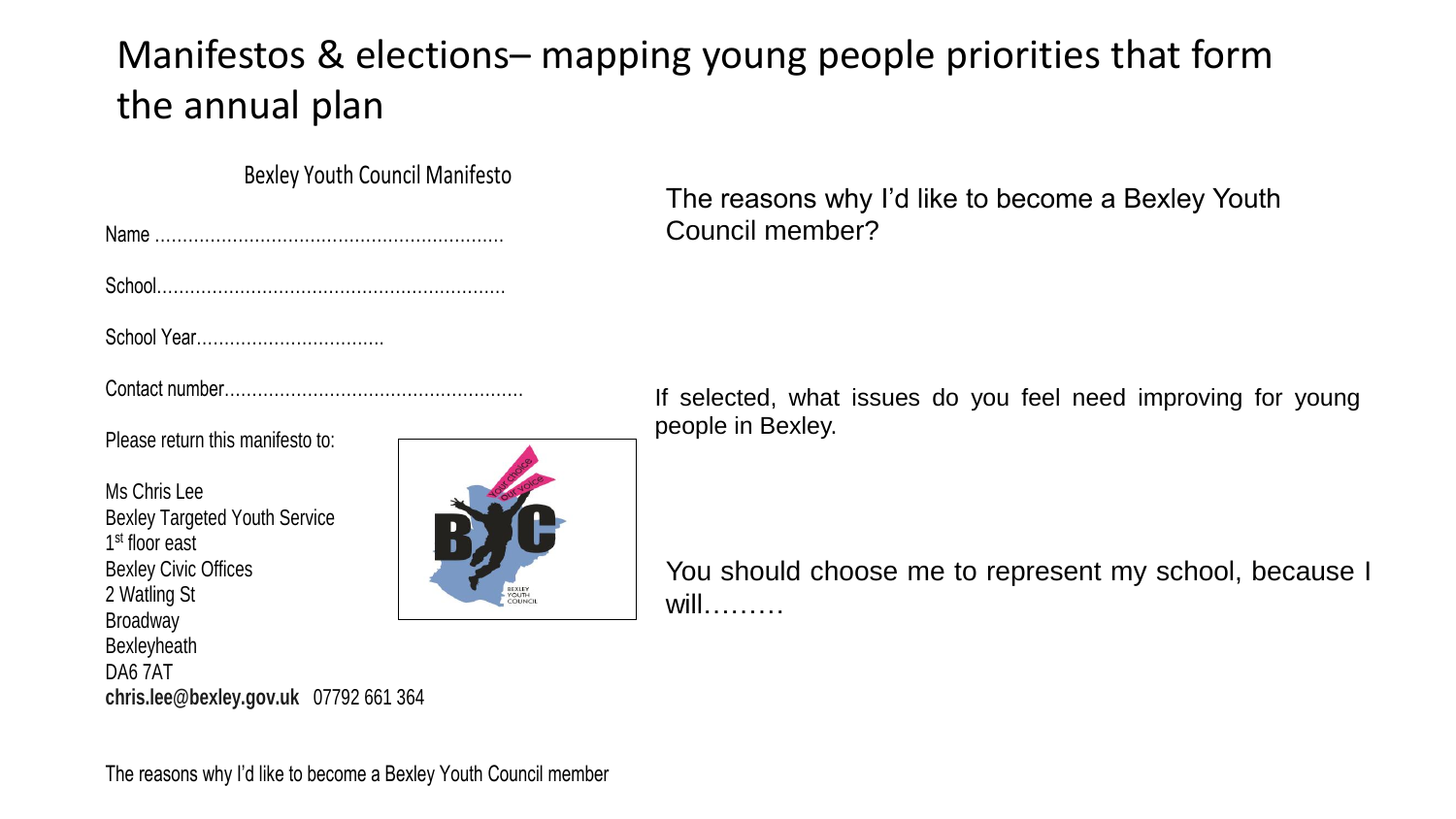#### Manifestos & elections– mapping young people priorities that form the annual plan

Bexley Youth Council Manifesto

School Year…………………………….

Contact number………………………………………………

Please return this manifesto to:

Ms Chris Lee Bexley Targeted Youth Service 1<sup>st</sup> floor east Bexley Civic Offices 2 Watling St Broadway Bexleyheath DA6 7AT



The reasons why I'd like to become a Bexley Youth Council member?

If selected, what issues do you feel need improving for young people in Bexley.

You should choose me to represent my school, because I will………

**chris.lee@bexley.gov.uk** 07792 661 364

The reasons why I'd like to become a Bexley Youth Council member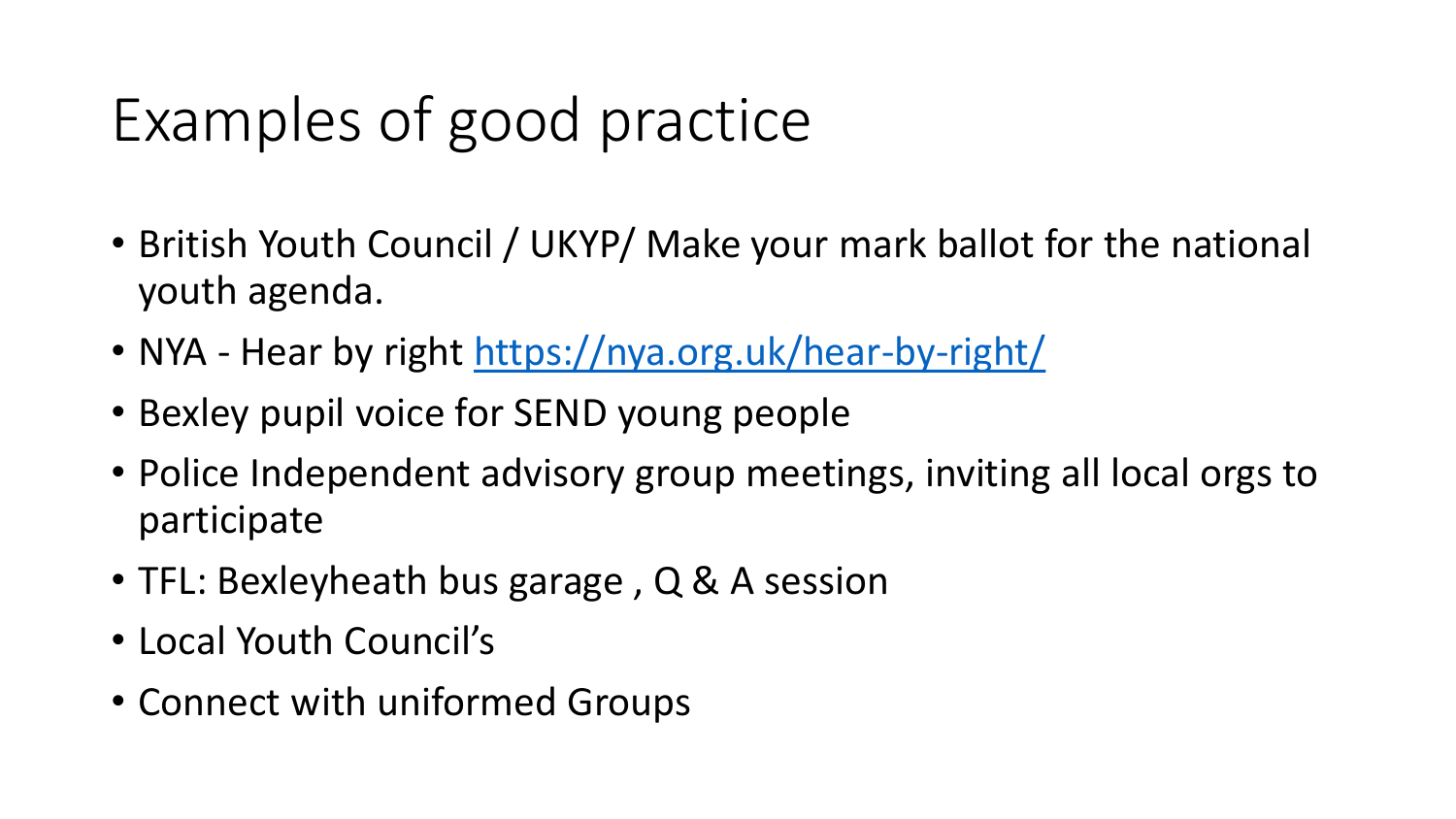## Examples of good practice

- British Youth Council / UKYP/ Make your mark ballot for the national youth agenda.
- NYA Hear by right <https://nya.org.uk/hear-by-right/>
- Bexley pupil voice for SEND young people
- Police Independent advisory group meetings, inviting all local orgs to participate
- TFL: Bexleyheath bus garage, Q & A session
- Local Youth Council's
- Connect with uniformed Groups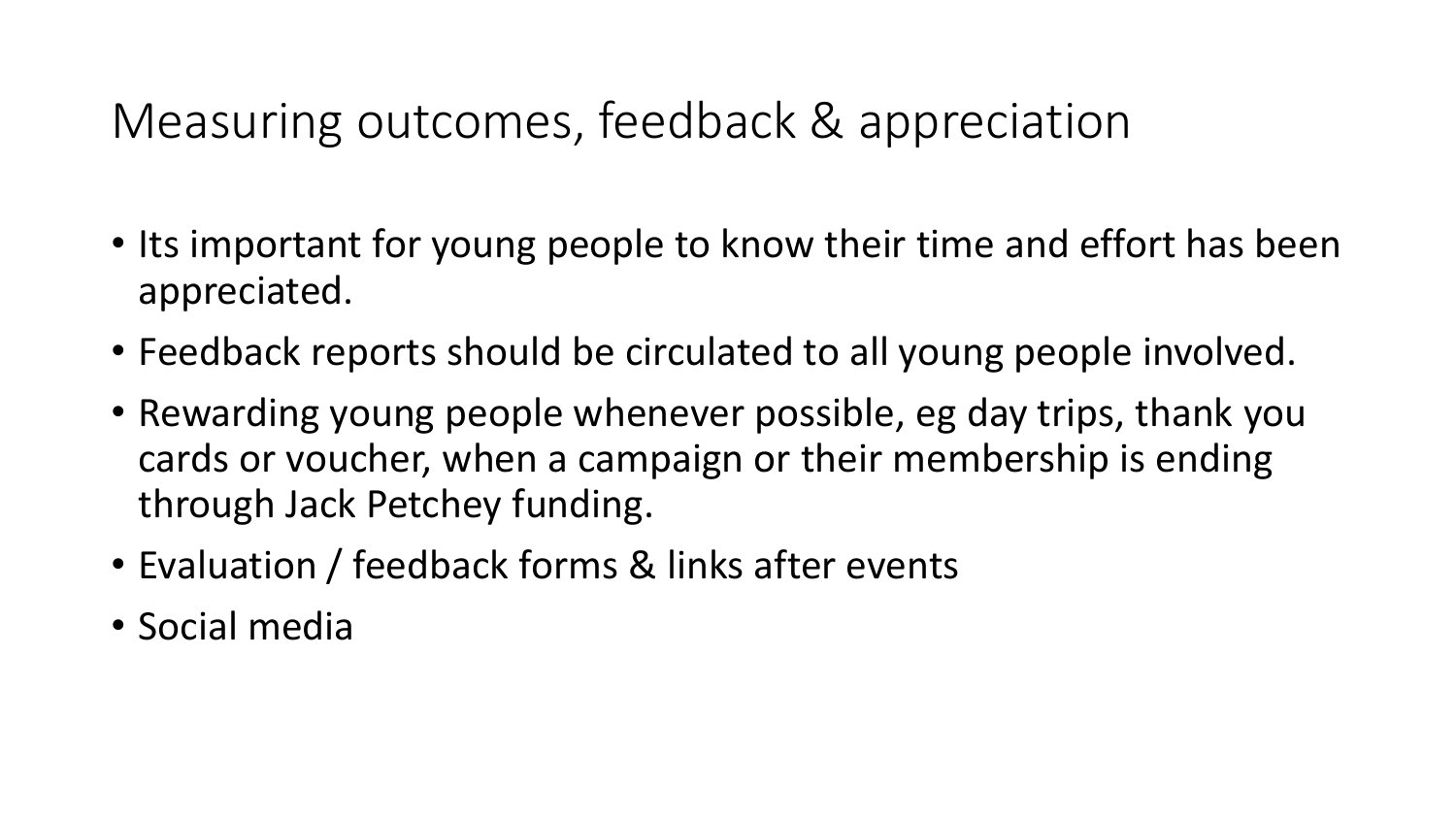#### Measuring outcomes, feedback & appreciation

- Its important for young people to know their time and effort has been appreciated.
- Feedback reports should be circulated to all young people involved.
- Rewarding young people whenever possible, eg day trips, thank you cards or voucher, when a campaign or their membership is ending through Jack Petchey funding.
- Evaluation / feedback forms & links after events
- Social media